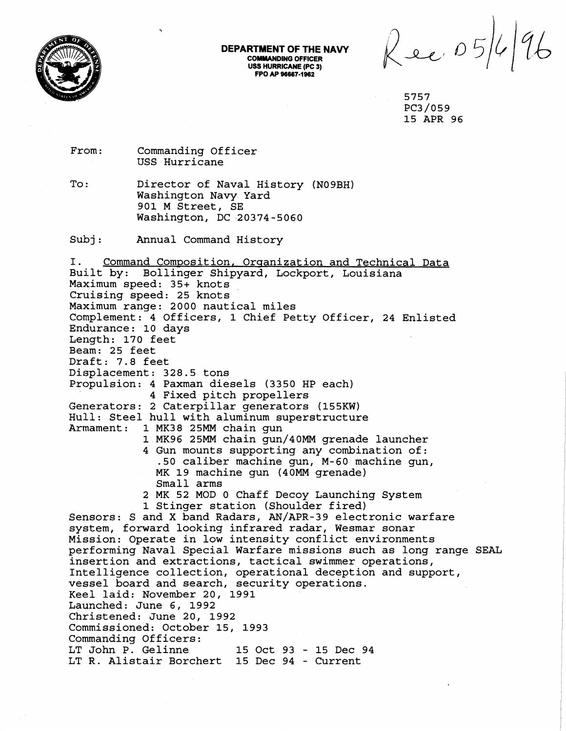

## **DEPARTMENT OF THE NAVY COMMANDING OFFICER USS HURRICANE (PC 3) FPO AP 96667-lb2** '

Rec. 05/4/96

5757 PC3/059 15 APR 96

From: Commanding Officer USS Hurricane

To: Director of Naval History (N09BH) Washington Navy Yard 901 M Street, SE Washington, DC 20374-5060

Subj: Annual Command History

I. Command Composition, Organization and Technical Data Built by: Bollinger Shipyard, Lockport, Louisiana Maximum speed: 35+ knots Cruising speed: 25 knots Maximum range: 2000 nautical miles Complement: 4 Officers, 1 Chief Petty Officer, 24 Enlisted Endurance: 10 days Length: 170 feet Beam: 25 feet Draft: 7.8 feet Displacement: 328.5 tons Propulsion: 4 Paxman diesels (3350 HP each) 4 Fixed pitch propellers Generators: 2 Caterpillar generators (155KW) Hull: Steel hull with aluminum superstructure<br>Armament: 1 MK38 25MM chain qun 1 MK38 25MM chain gun 1 MK96 25MM chain gun/40MM grenade launcher 4 Gun mounts supporting any combination of: .50 caliber machine gun, M-60 machine gun, MK 19 machine gun (40MM grenade) Small arms 2 MK 52 MOD 0 Chaff Decoy Launching System 1 Stinger station (Shoulder fired) Sensors: S and X band Radars, AN/APR-39 electronic warfare system, forward looking infrared radar, Wesmar sonar Mission: Operate in low intensity conflict environments performing Naval Special Warfare missions such as long range SEAL insertion and extractions, tactical swimmer operations, Intelligence collection, operational deception and support, vessel board and search, security operations. Keel laid: November 20, 1991 Launched: June 6, 1992 Christened: June 20, 1992 Commissioned: October 15, 1993 Commanding Officers: LT John P. Gelinne 15 Oct 93 - 15 Dec 94 **L?'** R. Alistair Borchert 15 Dec 94 - Current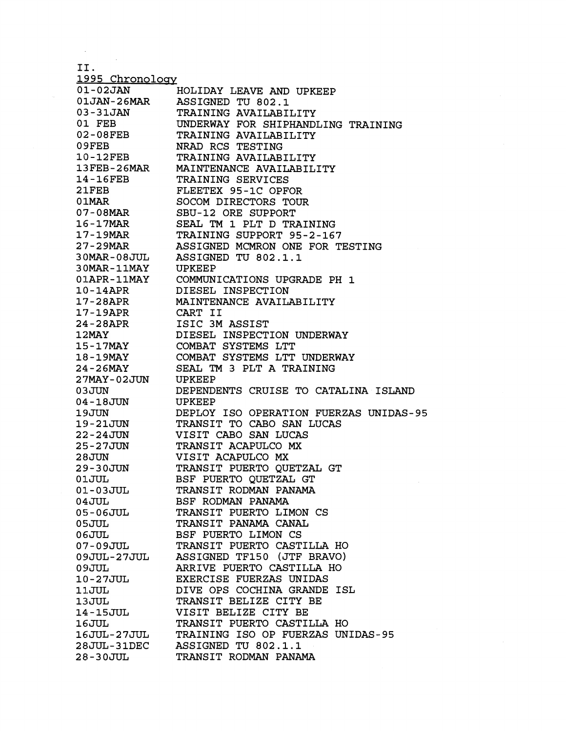11.

1995 Chronology<br>01-02JAN 01-02JAN HOLIDAY LEAVE AND UPKEEP<br>01JAN-26MAR ASSIGNED TU 802.1 01JAN-26MAR ASSIGNED TU 802.1 03-31JAN TRAINING AVAILABILITY<br>01 FEB UNDERWAY FOR SHIPHAND UNDERWAY FOR SHIPHANDLING TRAINING 02-08FEB TRAINING AVAILABILITY<br>09FEB NRAD RCS TESTING 09FEB NRAD RCS TESTING<br>10-12FEB TRAINING AVAILAB 10-12FEB TRAINING AVAILABILITY<br>13FEB-26MAR MAINTENANCE AVAILABIL 13FEB-26MAR MAINTENANCE AVAILABILITY<br>14-16FEB TRAINING SERVICES 14-16FEB TRAINING SERVICES<br>21FEB FLEETEX 95-1C OPF 2 :LFEB FLEETEX 95-1C OPFOR 0 lMAR SOCOM DIRECTORS TOUR 07-08MAR SBU-12 ORE SUPPORT<br>16-17MAR SEAL TM 1 PLT D TR 16-17MAR SEAL TM 1 PLT D TRAINING<br>17-19MAR TRAINING SUPPORT 95-2-16 TRAINING SUPPORT 95-2-167 2'7-29MAR ASSIGNED MCMRON ONE FOR TESTING 30MAR-08JUL ASSIGNED TU 802.1.1  $30$ MAR-11MAY<br> $01$ APR-11MAY COMMUNICATIONS UPGRADE PH 1 10-14APR DIESEL INSPECTION<br>17-28APR MAINTENANCE AVAIL MAINTENANCE AVAILABILITY 1'7 - 19APR CART I1 24-28APR ISIC 3M ASSIST<br>12MAY 12MAY DIESEL INSPECT DIESEL INSPECTION UNDERWAY 15-17MAY COMBAT SYSTEMS LTT 18-19MAY COMBAT SYSTEMS LTT UNDERWAY<br>24-26MAY SEAL TM 3 PLT A TRAINING SEAL TM 3 PLT A TRAINING<br>UPKEEP 27MAY-02JUN<br>03JUN DEPENDENTS CRUISE TO CATALINA ISLAND 04-18JUN UPKEEP<br>19JUN DEPLOY DEPLOY ISO OPERATION FUERZAS UNIDAS-95 19-21JUN TRANSIT TO CABO SAN LUCAS<br>22-24JUN VISIT CABO SAN LUCAS 22-24JUN VISIT CABO SAN LUCAS<br>25-27JUN TRANSIT ACAPULCO MX 25-27JUN TRANSIT ACAPULCO MX<br>28JUN VISIT ACAPULCO MX 28JUN VISIT ACAPULCO MX<br>29-30JUN TRANSIT PUERTO QU 29-30W TRANSIT PUERTO QUETZAL GT BSF PUERTO QUETZAL GT 01--03JUL TRANSIT RODMAN PANAMA 04JUL BSF RODMAN PANAMA TRANSIT PUERTO LIMON CS 05JUL TRANSIT PANAMA CANAL<br>06JUL DESF PUERTO LIMON CS BSF PUERTO LIMON CS 07-09JUL TRANSIT PUERTO CASTILLA HO<br>09JUL-27JUL ASSIGNED TF150 (JTF BRAVO) OSJUL-27JUL ASSIGNED TF150 (JTF BRAVO)<br>OSJUL ARRIVE PUERTO CASTILLA HO 09JUL ARRIVE PUERTO CASTILLA HO<br>10-27JUL EXERCISE FUERZAS UNIDAS EXERCISE FUERZAS UNIDAS 11-JUL DIVE OPS COCHINA GRANDE ISL 13JUL TRANSIT BELIZE CITY BE 14:-15JUL VISIT BELIZE CITY BE 16JUL 16JUL TRANSIT PUERTO CASTILLA HO<br>16JUL-27JUL TRAINING ISO OP FUERZAS UN TRAINING ISO OP FUERZAS UNIDAS-95 28JUL-31DEC ASSIGNED TU 802.1.1 TRANSIT RODMAN PANAMA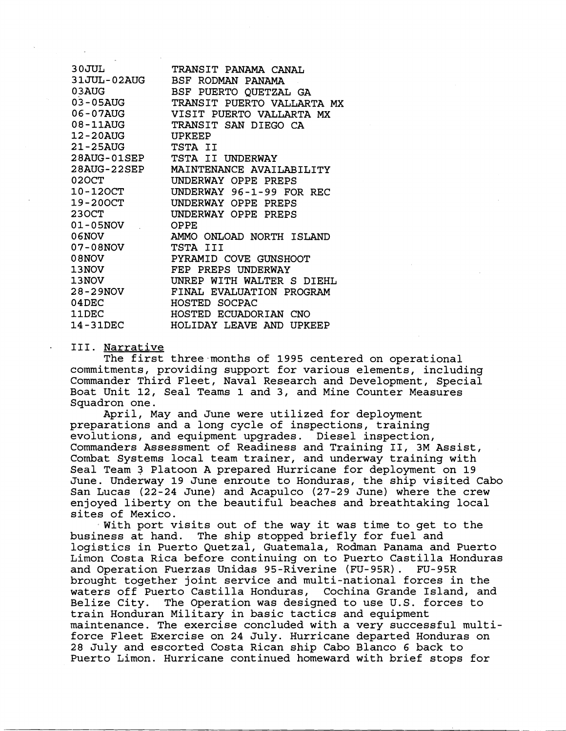| 30JUL<br>31JUL-02AUG<br>03AUG<br>03-05AUG<br>06-07AUG<br>08-11AUG<br>12-20AUG<br>21-25AUG | TRANSIT PANAMA CANAL<br>BSF RODMAN PANAMA<br>BSF PUERTO QUETZAL GA<br>TRANSIT PUERTO VALLARTA MX<br>VISIT PUERTO VALLARTA MX<br>TRANSIT SAN DIEGO CA<br>UPKEFP<br>TSTA II |
|-------------------------------------------------------------------------------------------|---------------------------------------------------------------------------------------------------------------------------------------------------------------------------|
| 28AUG-01SEP                                                                               | TSTA II UNDERWAY                                                                                                                                                          |
| $28\mathrm{AUG}$ - $22\mathrm{SEP}$                                                       | MAINTENANCE AVAILABILITY                                                                                                                                                  |
| 020CT                                                                                     | UNDERWAY OPPE PREPS                                                                                                                                                       |
| 10-120CT                                                                                  | UNDERWAY 96-1-99 FOR REC                                                                                                                                                  |
| 19-200CT                                                                                  | UNDERWAY OPPE PREPS                                                                                                                                                       |
| 230CT                                                                                     | UNDERWAY OPPE PREPS                                                                                                                                                       |
| 01-05NOV                                                                                  | OPPE                                                                                                                                                                      |
| 06NOV                                                                                     | AMMO ONLOAD NORTH ISLAND                                                                                                                                                  |
| 07-08NOV                                                                                  | TSTA III                                                                                                                                                                  |
| 08NOV                                                                                     | PYRAMID COVE GUNSHOOT                                                                                                                                                     |
| 13NOV                                                                                     | FEP PREPS UNDERWAY                                                                                                                                                        |
| 13NOV                                                                                     | WITH WALTER S DIEHL<br>UNREP                                                                                                                                              |
| 28-29NOV                                                                                  | FINAL EVALUATION PROGRAM                                                                                                                                                  |
| $04$ DEC                                                                                  | HOSTED SOCPAC                                                                                                                                                             |
| <b>11DEC</b>                                                                              | HOSTED ECUADORIAN CNO                                                                                                                                                     |
| 14-31DEC                                                                                  | HOLIDAY LEAVE AND UPKEEP                                                                                                                                                  |

111. Narrative

The first three months of 1995 centered on operational commitments, providing support for various elements, including Commander Third Fleet, Naval Research and Development, Special Boat Unit 12, Seal Teams 1 and 3, and Mine Counter Measures Squadron one.

April, May and June were utilized for deployment preparations and a long cycle of inspections, training evolutions, and equipment upgrades. Diesel inspection, Commanders Assessment of Readiness and Training 11, 3M Assist, Cornbat Systems local team trainer, and underway training with Seal Team 3 Platoon A prepared Hurricane for deployment on 19 June. Underway 19 June enroute to Honduras, the ship visited Cabo San Lucas (22-24 June) and Acapulco (27-29 June) where the crew enjoyed liberty on the beautiful beaches and breathtaking local sites of Mexico.

 $\overline{y}$  With port visits out of the way it was time to get to the business at hand. The ship stopped briefly for fuel and logistics in Puerto Quetzal, Guatemala, Rodman Panama and Puerto Limon Costa Rica before continuing on to Puerto Castilla Honduras<br>and Operation Fuerzas Unidas 95-Riverine (FU-95R). FU-95R and Operation Fuerzas Unidas 95-Riverine (FU-95R). brought together joint service and multi-national forces in the waters off Puerto Castilla Honduras, Cochina Grande Island, and Belize City. The Operation was designed to use U.S. forces to train Honduran Military in basic tactics and equipment maintenance. The exercise concluded with a very successful multiforce Fleet Exercise on 24 July. Hurricane departed Honduras on 28 July and escorted Costa Rican ship Cabo Blanco 6 back to Puerto Limon. Hurricane continued homeward with brief stops for